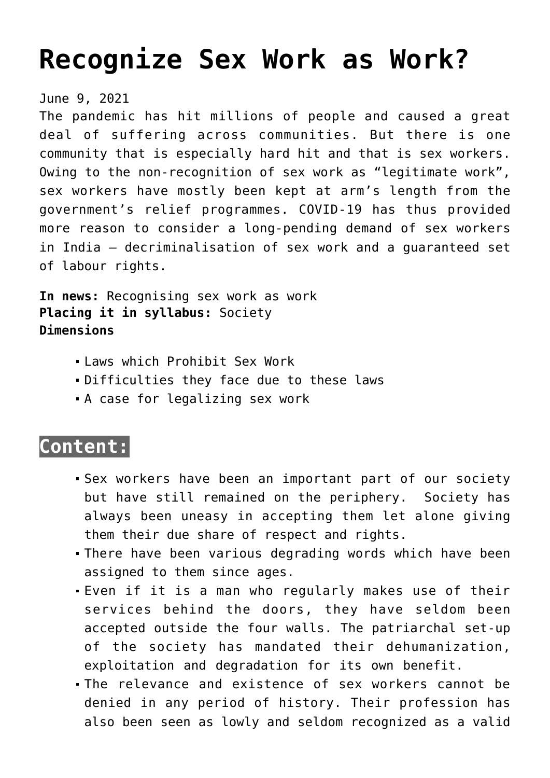# **[Recognize Sex Work as Work?](https://journalsofindia.com/recognize-sex-work-as-work/)**

#### June 9, 2021

The pandemic has hit millions of people and caused a great deal of suffering across communities. But there is one community that is especially hard hit and that is sex workers. Owing to the non-recognition of sex work as "legitimate work", sex workers have mostly been kept at arm's length from the government's relief programmes. COVID-19 has thus provided more reason to consider a long-pending demand of sex workers in India — decriminalisation of sex work and a guaranteed set of labour rights.

**In news:** Recognising sex work as work **Placing it in syllabus:** Society **Dimensions**

- Laws which Prohibit Sex Work
- Difficulties they face due to these laws
- A case for legalizing sex work

# **Content:**

- Sex workers have been an important part of our society but have still remained on the periphery. Society has always been uneasy in accepting them let alone giving them their due share of respect and rights.
- There have been various degrading words which have been assigned to them since ages.
- Even if it is a man who regularly makes use of their services behind the doors, they have seldom been accepted outside the four walls. The patriarchal set-up of the society has mandated their dehumanization, exploitation and degradation for its own benefit.
- The relevance and existence of sex workers cannot be denied in any period of history. Their profession has also been seen as lowly and seldom recognized as a valid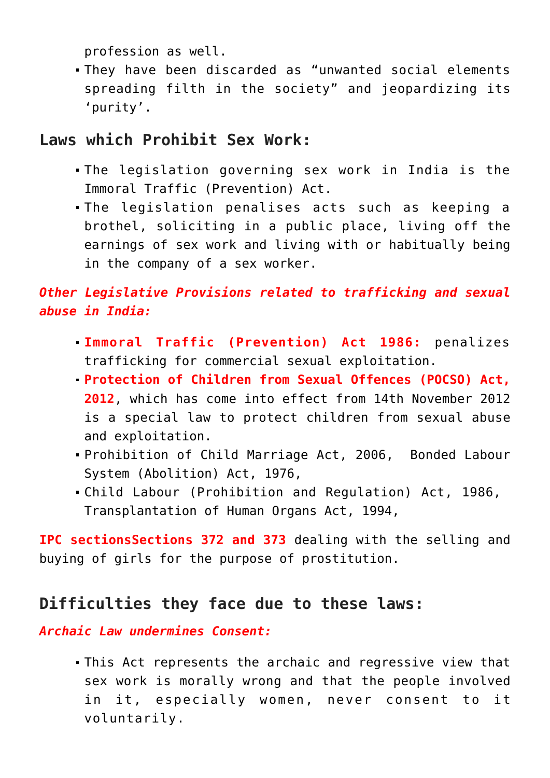profession as well.

They have been discarded as "unwanted social elements spreading filth in the society" and jeopardizing its 'purity'.

## **Laws which Prohibit Sex Work:**

- The legislation governing sex work in India is the Immoral Traffic (Prevention) Act.
- The legislation penalises acts such as keeping a brothel, soliciting in a public place, living off the earnings of sex work and living with or habitually being in the company of a sex worker.

# *Other Legislative Provisions related to trafficking and sexual abuse in India:*

- **Immoral Traffic (Prevention) Act 1986:** penalizes trafficking for commercial sexual exploitation.
- **Protection of Children from Sexual Offences (POCSO) Act, 2012**, which has come into effect from 14th November 2012 is a special law to protect children from sexual abuse and exploitation.
- Prohibition of Child Marriage Act, 2006, Bonded Labour System (Abolition) Act, 1976,
- Child Labour (Prohibition and Regulation) Act, 1986, Transplantation of Human Organs Act, 1994,

**IPC sectionsSections 372 and 373** dealing with the selling and buying of girls for the purpose of prostitution.

# **Difficulties they face due to these laws:**

*Archaic Law undermines Consent:*

This Act represents the archaic and regressive view that sex work is morally wrong and that the people involved in it, especially women, never consent to it voluntarily.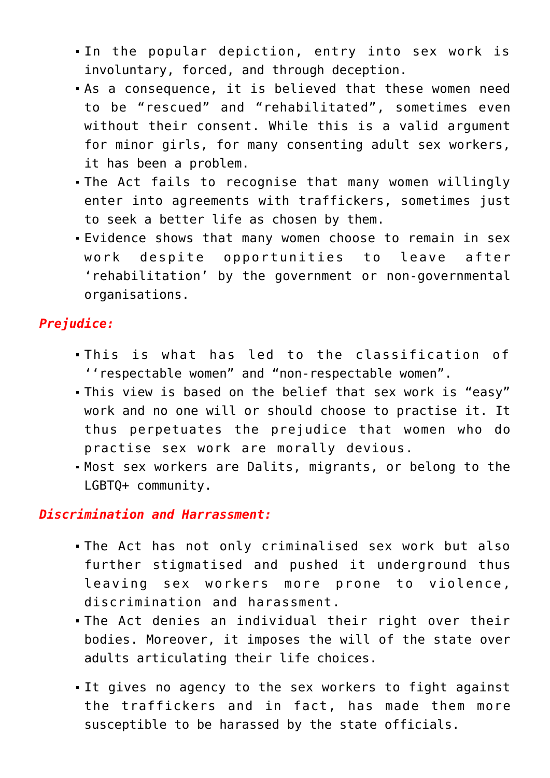- In the popular depiction, entry into sex work is involuntary, forced, and through deception.
- As a consequence, it is believed that these women need to be "rescued" and "rehabilitated", sometimes even without their consent. While this is a valid argument for minor girls, for many consenting adult sex workers, it has been a problem.
- The Act fails to recognise that many women willingly enter into agreements with traffickers, sometimes just to seek a better life as chosen by them.
- Evidence shows that many women choose to remain in sex work despite opportunities to leave after 'rehabilitation' by the government or non-governmental organisations.

#### *Prejudice:*

- This is what has led to the classification of ''respectable women" and "non-respectable women".
- This view is based on the belief that sex work is "easy" work and no one will or should choose to practise it. It thus perpetuates the prejudice that women who do practise sex work are morally devious.
- Most sex workers are Dalits, migrants, or belong to the LGBTQ+ community.

#### *Discrimination and Harrassment:*

- The Act has not only criminalised sex work but also further stigmatised and pushed it underground thus leaving sex workers more prone to violence, discrimination and harassment.
- The Act denies an individual their right over their bodies. Moreover, it imposes the will of the state over adults articulating their life choices.
- It gives no agency to the sex workers to fight against the traffickers and in fact, has made them more susceptible to be harassed by the state officials.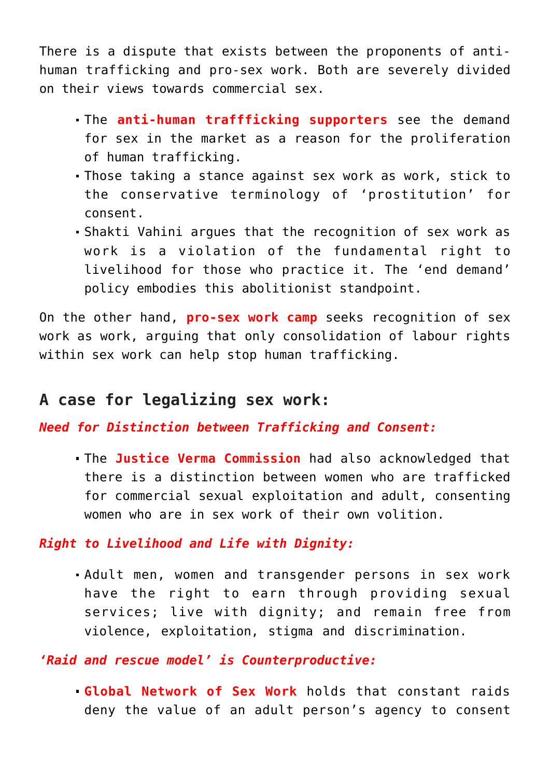There is a dispute that exists between the proponents of antihuman trafficking and pro-sex work. Both are severely divided on their views towards commercial sex.

- The **anti-human traffficking supporters** see the demand for sex in the market as a reason for the proliferation of human trafficking.
- Those taking a stance against sex work as work, stick to the conservative terminology of 'prostitution' for consent.
- Shakti Vahini argues that the recognition of sex work as work is a violation of the fundamental right to livelihood for those who practice it. The 'end demand' policy embodies this abolitionist standpoint.

On the other hand, **pro-sex work camp** seeks recognition of sex work as work, arguing that only consolidation of labour rights within sex work can help stop human trafficking.

### **A case for legalizing sex work:**

*Need for Distinction between Trafficking and Consent:*

The **Justice Verma Commission** had also acknowledged that there is a distinction between women who are trafficked for commercial sexual exploitation and adult, consenting women who are in sex work of their own volition.

*Right to Livelihood and Life with Dignity:*

Adult men, women and transgender persons in sex work have the right to earn through providing sexual services; live with dignity; and remain free from violence, exploitation, stigma and discrimination.

*'Raid and rescue model' is Counterproductive:*

**Global Network of Sex Work** holds that constant raids deny the value of an adult person's agency to consent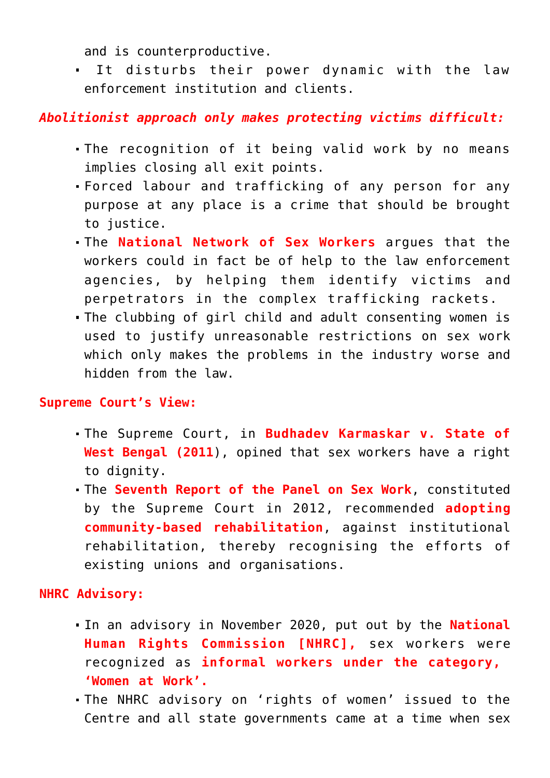and is counterproductive.

 It disturbs their power dynamic with the law enforcement institution and clients.

#### *Abolitionist approach only makes protecting victims difficult:*

- The recognition of it being valid work by no means implies closing all exit points.
- Forced labour and trafficking of any person for any purpose at any place is a crime that should be brought to justice.
- The **National Network of Sex Workers** argues that the workers could in fact be of help to the law enforcement agencies, by helping them identify victims and perpetrators in the complex trafficking rackets.
- The clubbing of girl child and adult consenting women is used to justify unreasonable restrictions on sex work which only makes the problems in the industry worse and hidden from the law.

#### **Supreme Court's View:**

- The Supreme Court, in **Budhadev Karmaskar v. State of West Bengal (2011**), opined that sex workers have a right to dignity.
- The **Seventh Report of the Panel on Sex Work**, constituted by the Supreme Court in 2012, recommended **adopting community-based rehabilitation**, against institutional rehabilitation, thereby recognising the efforts of existing unions and organisations.

#### **NHRC Advisory:**

- In an advisory in November 2020, put out by the **National Human Rights Commission [NHRC],** sex workers were recognized as **informal workers under the category, 'Women at Work'.**
- The NHRC advisory on 'rights of women' issued to the Centre and all state governments came at a time when sex